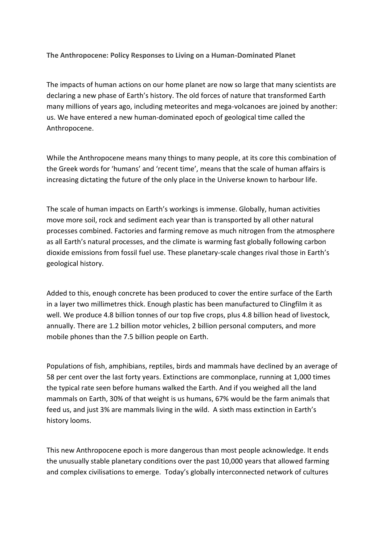**The Anthropocene: Policy Responses to Living on a Human-Dominated Planet** 

The impacts of human actions on our home planet are now so large that many scientists are declaring a new phase of Earth's history. The old forces of nature that transformed Earth many millions of years ago, including meteorites and mega-volcanoes are joined by another: us. We have entered a new human-dominated epoch of geological time called the Anthropocene.

While the Anthropocene means many things to many people, at its core this combination of the Greek words for 'humans' and 'recent time', means that the scale of human affairs is increasing dictating the future of the only place in the Universe known to harbour life.

The scale of human impacts on Earth's workings is immense. Globally, human activities move more soil, rock and sediment each year than is transported by all other natural processes combined. Factories and farming remove as much nitrogen from the atmosphere as all Earth's natural processes, and the climate is warming fast globally following carbon dioxide emissions from fossil fuel use. These planetary-scale changes rival those in Earth's geological history.

Added to this, enough concrete has been produced to cover the entire surface of the Earth in a layer two millimetres thick. Enough plastic has been manufactured to Clingfilm it as well. We produce 4.8 billion tonnes of our top five crops, plus 4.8 billion head of livestock, annually. There are 1.2 billion motor vehicles, 2 billion personal computers, and more mobile phones than the 7.5 billion people on Earth.

Populations of fish, amphibians, reptiles, birds and mammals have declined by an average of 58 per cent over the last forty years. Extinctions are commonplace, running at 1,000 times the typical rate seen before humans walked the Earth. And if you weighed all the land mammals on Earth, 30% of that weight is us humans, 67% would be the farm animals that feed us, and just 3% are mammals living in the wild. A sixth mass extinction in Earth's history looms.

This new Anthropocene epoch is more dangerous than most people acknowledge. It ends the unusually stable planetary conditions over the past 10,000 years that allowed farming and complex civilisations to emerge. Today's globally interconnected network of cultures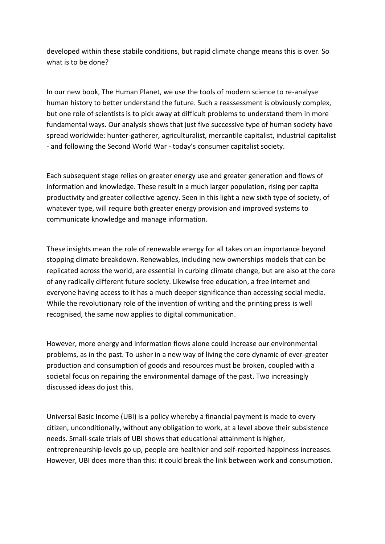developed within these stabile conditions, but rapid climate change means this is over. So what is to be done?

In our new book, The Human Planet, we use the tools of modern science to re-analyse human history to better understand the future. Such a reassessment is obviously complex, but one role of scientists is to pick away at difficult problems to understand them in more fundamental ways. Our analysis shows that just five successive type of human society have spread worldwide: hunter-gatherer, agriculturalist, mercantile capitalist, industrial capitalist - and following the Second World War - today's consumer capitalist society.

Each subsequent stage relies on greater energy use and greater generation and flows of information and knowledge. These result in a much larger population, rising per capita productivity and greater collective agency. Seen in this light a new sixth type of society, of whatever type, will require both greater energy provision and improved systems to communicate knowledge and manage information.

These insights mean the role of renewable energy for all takes on an importance beyond stopping climate breakdown. Renewables, including new ownerships models that can be replicated across the world, are essential in curbing climate change, but are also at the core of any radically different future society. Likewise free education, a free internet and everyone having access to it has a much deeper significance than accessing social media. While the revolutionary role of the invention of writing and the printing press is well recognised, the same now applies to digital communication.

However, more energy and information flows alone could increase our environmental problems, as in the past. To usher in a new way of living the core dynamic of ever-greater production and consumption of goods and resources must be broken, coupled with a societal focus on repairing the environmental damage of the past. Two increasingly discussed ideas do just this.

Universal Basic Income (UBI) is a policy whereby a financial payment is made to every citizen, unconditionally, without any obligation to work, at a level above their subsistence needs. Small-scale trials of UBI shows that educational attainment is higher, entrepreneurship levels go up, people are healthier and self-reported happiness increases. However, UBI does more than this: it could break the link between work and consumption.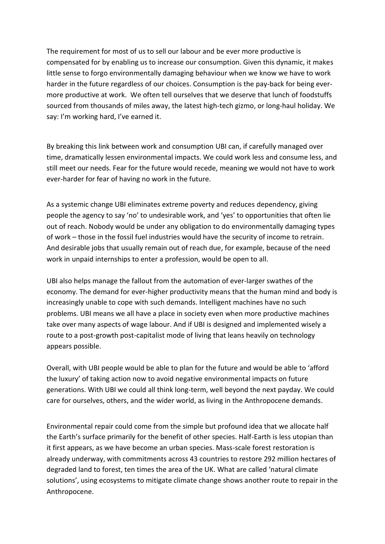The requirement for most of us to sell our labour and be ever more productive is compensated for by enabling us to increase our consumption. Given this dynamic, it makes little sense to forgo environmentally damaging behaviour when we know we have to work harder in the future regardless of our choices. Consumption is the pay-back for being evermore productive at work. We often tell ourselves that we deserve that lunch of foodstuffs sourced from thousands of miles away, the latest high-tech gizmo, or long-haul holiday. We say: I'm working hard, I've earned it.

By breaking this link between work and consumption UBI can, if carefully managed over time, dramatically lessen environmental impacts. We could work less and consume less, and still meet our needs. Fear for the future would recede, meaning we would not have to work ever-harder for fear of having no work in the future.

As a systemic change UBI eliminates extreme poverty and reduces dependency, giving people the agency to say 'no' to undesirable work, and 'yes' to opportunities that often lie out of reach. Nobody would be under any obligation to do environmentally damaging types of work – those in the fossil fuel industries would have the security of income to retrain. And desirable jobs that usually remain out of reach due, for example, because of the need work in unpaid internships to enter a profession, would be open to all.

UBI also helps manage the fallout from the automation of ever-larger swathes of the economy. The demand for ever-higher productivity means that the human mind and body is increasingly unable to cope with such demands. Intelligent machines have no such problems. UBI means we all have a place in society even when more productive machines take over many aspects of wage labour. And if UBI is designed and implemented wisely a route to a post-growth post-capitalist mode of living that leans heavily on technology appears possible.

Overall, with UBI people would be able to plan for the future and would be able to 'afford the luxury' of taking action now to avoid negative environmental impacts on future generations. With UBI we could all think long-term, well beyond the next payday. We could care for ourselves, others, and the wider world, as living in the Anthropocene demands.

Environmental repair could come from the simple but profound idea that we allocate half the Earth's surface primarily for the benefit of other species. Half-Earth is less utopian than it first appears, as we have become an urban species. Mass-scale forest restoration is already underway, with commitments across 43 countries to restore 292 million hectares of degraded land to forest, ten times the area of the UK. What are called 'natural climate solutions', using ecosystems to mitigate climate change shows another route to repair in the Anthropocene.